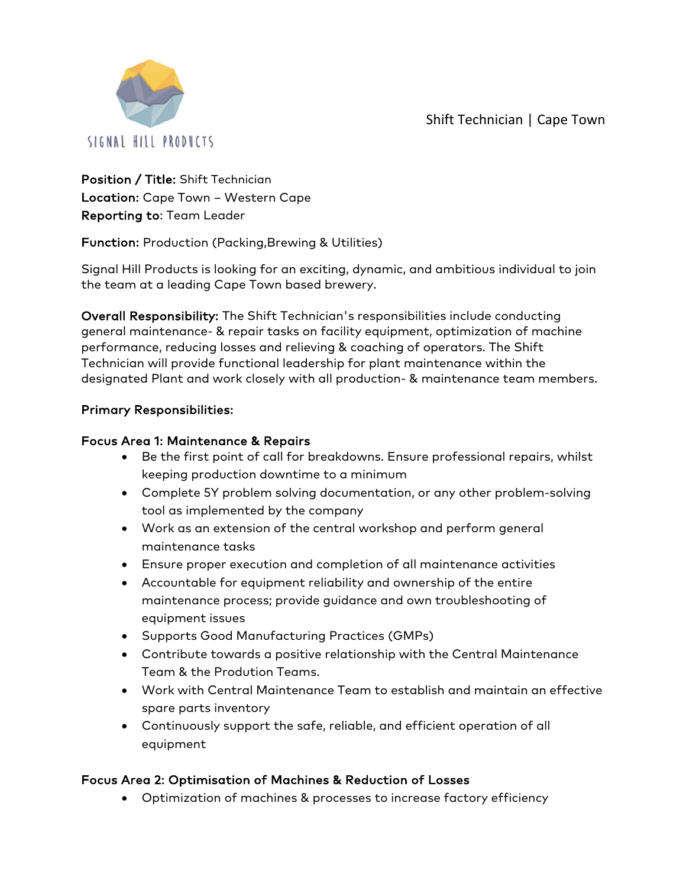Shift Technician | Cape Town



Position / Title: Shift Technician Location: Cape Town – Western Cape Reporting to: Team Leader

Function: Production (Packing,Brewing & Utilities)

Signal Hill Products is looking for an exciting, dynamic, and ambitious individual to join the team at a leading Cape Town based brewery.

Overall Responsibility: The Shift Technician's responsibilities include conducting general maintenance- & repair tasks on facility equipment, optimization of machine performance, reducing losses and relieving & coaching of operators. The Shift Technician will provide functional leadership for plant maintenance within the designated Plant and work closely with all production- & maintenance team members.

## Primary Responsibilities:

#### Focus Area 1: Maintenance & Repairs

- Be the first point of call for breakdowns. Ensure professional repairs, whilst keeping production downtime to a minimum
- Complete 5Y problem solving documentation, or any other problem-solving tool as implemented by the company
- Work as an extension of the central workshop and perform general maintenance tasks
- Ensure proper execution and completion of all maintenance activities
- Accountable for equipment reliability and ownership of the entire maintenance process; provide guidance and own troubleshooting of equipment issues
- Supports Good Manufacturing Practices (GMPs)
- Contribute towards a positive relationship with the Central Maintenance Team & the Prodution Teams.
- Work with Central Maintenance Team to establish and maintain an effective spare parts inventory
- Continuously support the safe, reliable, and efficient operation of all equipment

#### Focus Area 2: Optimisation of Machines & Reduction of Losses

• Optimization of machines & processes to increase factory efficiency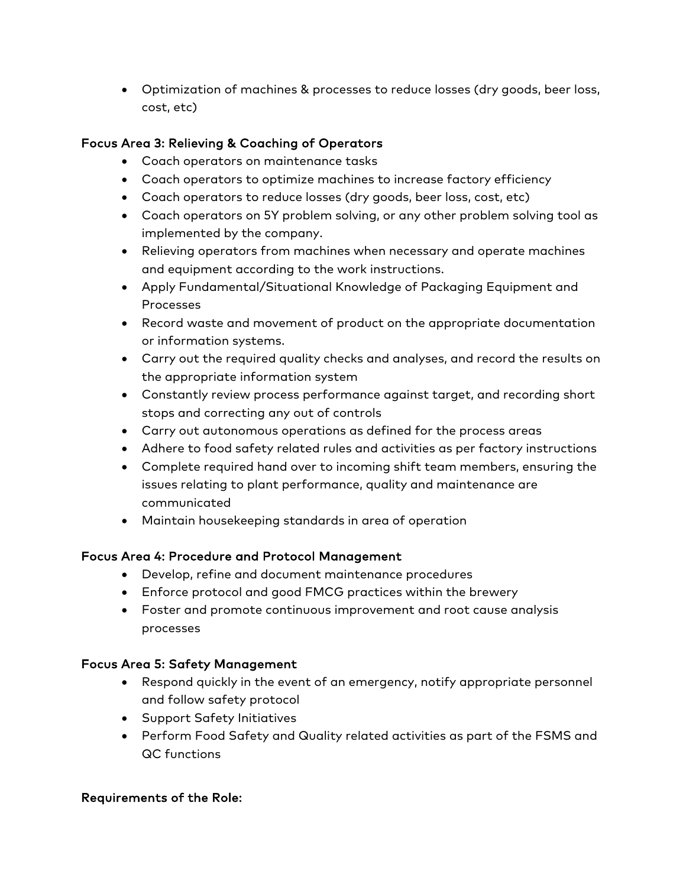• Optimization of machines & processes to reduce losses (dry goods, beer loss, cost, etc)

### Focus Area 3: Relieving & Coaching of Operators

- Coach operators on maintenance tasks
- Coach operators to optimize machines to increase factory efficiency
- Coach operators to reduce losses (dry goods, beer loss, cost, etc)
- Coach operators on 5Y problem solving, or any other problem solving tool as implemented by the company.
- Relieving operators from machines when necessary and operate machines and equipment according to the work instructions.
- Apply Fundamental/Situational Knowledge of Packaging Equipment and Processes
- Record waste and movement of product on the appropriate documentation or information systems.
- Carry out the required quality checks and analyses, and record the results on the appropriate information system
- Constantly review process performance against target, and recording short stops and correcting any out of controls
- Carry out autonomous operations as defined for the process areas
- Adhere to food safety related rules and activities as per factory instructions
- Complete required hand over to incoming shift team members, ensuring the issues relating to plant performance, quality and maintenance are communicated
- Maintain housekeeping standards in area of operation

#### Focus Area 4: Procedure and Protocol Management

- Develop, refine and document maintenance procedures
- Enforce protocol and good FMCG practices within the brewery
- Foster and promote continuous improvement and root cause analysis processes

#### Focus Area 5: Safety Management

- Respond quickly in the event of an emergency, notify appropriate personnel and follow safety protocol
- Support Safety Initiatives
- Perform Food Safety and Quality related activities as part of the FSMS and QC functions

#### Requirements of the Role: